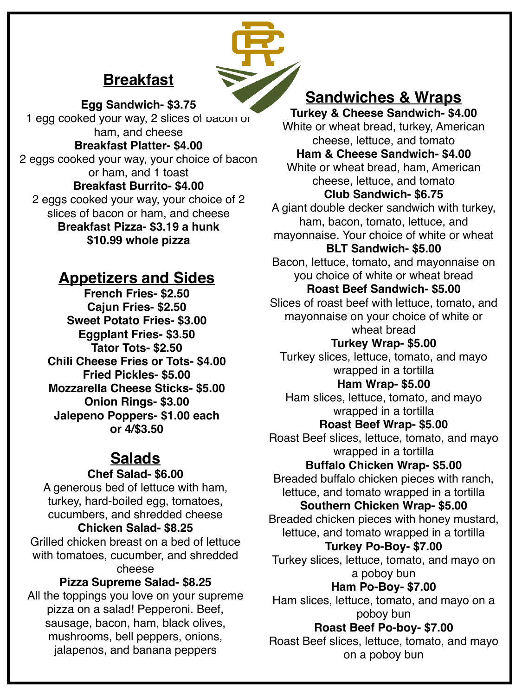# **Breakfast**



**Egg Sandwich- \$3.75**  1 egg cooked your way, 2 slices of bacon or ham, and cheese **Breakfast Platter- \$4.00**  2 eggs cooked your way, your choice of bacon or ham, and 1 toast **Breakfast Burrito- \$4.00**  2 eggs cooked your way, your choice of 2 slices of bacon or ham, and cheese **Breakfast Pizza- \$3.19 a hunk \$10.99 whole pizza** 

## **Appetizers and Sides**

**French Fries- \$2.50 Cajun Fries- \$2.50 Sweet Potato Fries- \$3.00 Eggplant Fries- \$3.50 Tator Tots- \$2.50 Chili Cheese Fries or Tots- \$4.00 Fried Pickles- \$5.00 Mozzarella Cheese Sticks- \$5.00 Onion Rings- \$3.00 Jalepeno Poppers- \$1.00 each or 4/\$3.50**

## **Salads**

#### **Chef Salad- \$6.00**

A generous bed of lettuce with ham, turkey, hard-boiled egg, tomatoes, cucumbers, and shredded cheese

#### **Chicken Salad- \$8.25**

Grilled chicken breast on a bed of lettuce with tomatoes, cucumber, and shredded cheese

### **Pizza Supreme Salad- \$8.25**

All the toppings you love on your supreme pizza on a salad! Pepperoni. Beef, sausage, bacon, ham, black olives, mushrooms, bell peppers, onions, jalapenos, and banana peppers

## **Sandwiches & Wraps**

**Turkey & Cheese Sandwich- \$4.00**  White or wheat bread, turkey, American cheese, lettuce, and tomato **Ham & Cheese Sandwich- \$4.00**  White or wheat bread, ham, American cheese, lettuce, and tomato **Club Sandwich- \$6.75**  A giant double decker sandwich with turkey, ham, bacon, tomato, lettuce, and mayonnaise. Your choice of white or wheat **BLT Sandwich- \$5.00**  Bacon, lettuce, tomato, and mayonnaise on you choice of white or wheat bread **Roast Beef Sandwich- \$5.00**  Slices of roast beef with lettuce, tomato, and mayonnaise on your choice of white or wheat bread **Turkey Wrap- \$5.00**  Turkey slices, lettuce, tomato, and mayo wrapped in a tortilla **Ham Wrap- \$5.00**  Ham slices, lettuce, tomato, and mayo wrapped in a tortilla **Roast Beef Wrap- \$5.00**  Roast Beef slices, lettuce, tomato, and mayo wrapped in a tortilla **Buffalo Chicken Wrap- \$5.00**  Breaded buffalo chicken pieces with ranch, lettuce, and tomato wrapped in a tortilla **Southern Chicken Wrap- \$5.00**  Breaded chicken pieces with honey mustard, lettuce, and tomato wrapped in a tortilla **Turkey Po-Boy- \$7.00**  Turkey slices, lettuce, tomato, and mayo on a poboy bun **Ham Po-Boy- \$7.00**  Ham slices, lettuce, tomato, and mayo on a poboy bun **Roast Beef Po-boy- \$7.00**  Roast Beef slices, lettuce, tomato, and mayo on a poboy bun